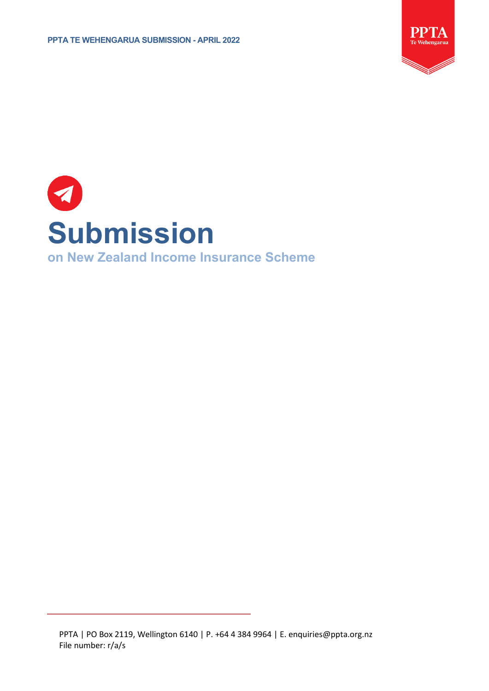

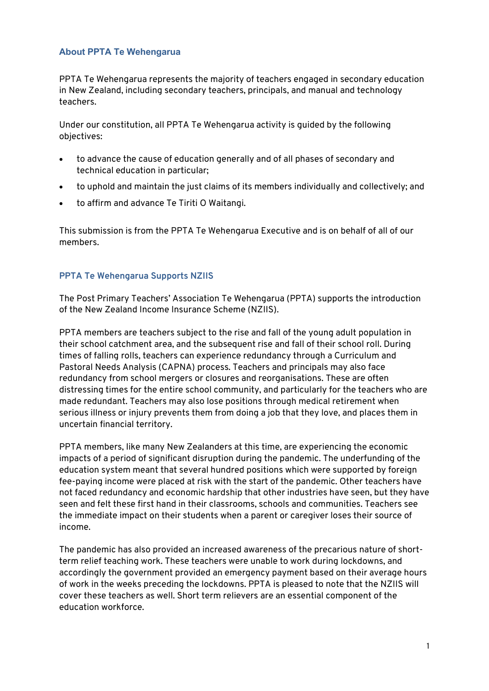### **About PPTA Te Wehengarua**

PPTA Te Wehengarua represents the majority of teachers engaged in secondary education in New Zealand, including secondary teachers, principals, and manual and technology teachers.

Under our constitution, all PPTA Te Wehengarua activity is guided by the following objectives:

- to advance the cause of education generally and of all phases of secondary and technical education in particular;
- to uphold and maintain the just claims of its members individually and collectively; and
- to affirm and advance Te Tiriti O Waitangi.

This submission is from the PPTA Te Wehengarua Executive and is on behalf of all of our members.

### **PPTA Te Wehengarua Supports NZIIS**

The Post Primary Teachers' Association Te Wehengarua (PPTA) supports the introduction of the New Zealand Income Insurance Scheme (NZIIS).

PPTA members are teachers subject to the rise and fall of the young adult population in their school catchment area, and the subsequent rise and fall of their school roll. During times of falling rolls, teachers can experience redundancy through a Curriculum and Pastoral Needs Analysis (CAPNA) process. Teachers and principals may also face redundancy from school mergers or closures and reorganisations. These are often distressing times for the entire school community, and particularly for the teachers who are made redundant. Teachers may also lose positions through medical retirement when serious illness or injury prevents them from doing a job that they love, and places them in uncertain financial territory.

PPTA members, like many New Zealanders at this time, are experiencing the economic impacts of a period of significant disruption during the pandemic. The underfunding of the education system meant that several hundred positions which were supported by foreign fee-paying income were placed at risk with the start of the pandemic. Other teachers have not faced redundancy and economic hardship that other industries have seen, but they have seen and felt these first hand in their classrooms, schools and communities. Teachers see the immediate impact on their students when a parent or caregiver loses their source of income.

The pandemic has also provided an increased awareness of the precarious nature of shortterm relief teaching work. These teachers were unable to work during lockdowns, and accordingly the government provided an emergency payment based on their average hours of work in the weeks preceding the lockdowns. PPTA is pleased to note that the NZIIS will cover these teachers as well. Short term relievers are an essential component of the education workforce.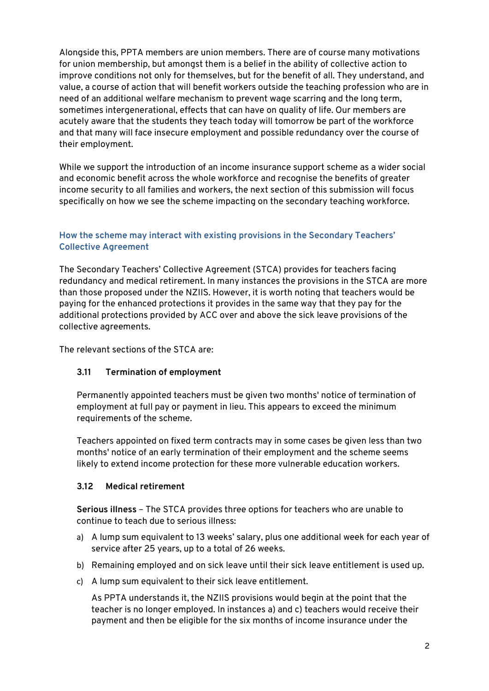Alongside this, PPTA members are union members. There are of course many motivations for union membership, but amongst them is a belief in the ability of collective action to improve conditions not only for themselves, but for the benefit of all. They understand, and value, a course of action that will benefit workers outside the teaching profession who are in need of an additional welfare mechanism to prevent wage scarring and the long term, sometimes intergenerational, effects that can have on quality of life. Our members are acutely aware that the students they teach today will tomorrow be part of the workforce and that many will face insecure employment and possible redundancy over the course of their employment.

While we support the introduction of an income insurance support scheme as a wider social and economic benefit across the whole workforce and recognise the benefits of greater income security to all families and workers, the next section of this submission will focus specifically on how we see the scheme impacting on the secondary teaching workforce.

### **How the scheme may interact with existing provisions in the Secondary Teachers' Collective Agreement**

The Secondary Teachers' Collective Agreement (STCA) provides for teachers facing redundancy and medical retirement. In many instances the provisions in the STCA are more than those proposed under the NZIIS. However, it is worth noting that teachers would be paying for the enhanced protections it provides in the same way that they pay for the additional protections provided by ACC over and above the sick leave provisions of the collective agreements.

The relevant sections of the STCA are:

### **3.11 Termination of employment**

Permanently appointed teachers must be given two months' notice of termination of employment at full pay or payment in lieu. This appears to exceed the minimum requirements of the scheme.

Teachers appointed on fixed term contracts may in some cases be given less than two months' notice of an early termination of their employment and the scheme seems likely to extend income protection for these more vulnerable education workers.

### **3.12 Medical retirement**

**Serious illness** – The STCA provides three options for teachers who are unable to continue to teach due to serious illness:

- a) A lump sum equivalent to 13 weeks' salary, plus one additional week for each year of service after 25 years, up to a total of 26 weeks.
- b) Remaining employed and on sick leave until their sick leave entitlement is used up.
- c) A lump sum equivalent to their sick leave entitlement.

As PPTA understands it, the NZIIS provisions would begin at the point that the teacher is no longer employed. In instances a) and c) teachers would receive their payment and then be eligible for the six months of income insurance under the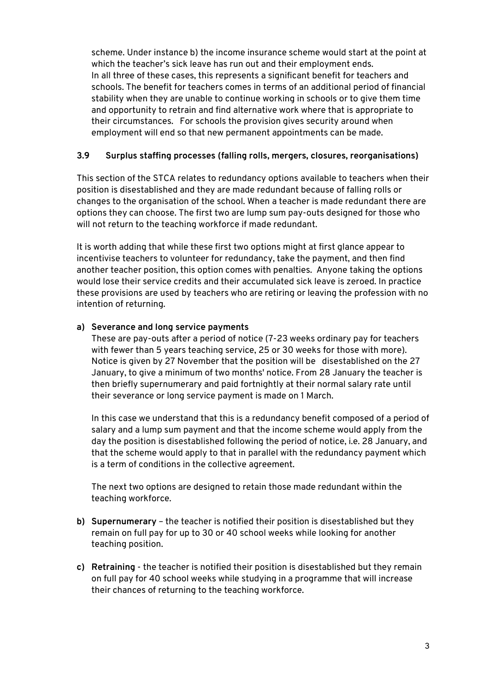scheme. Under instance b) the income insurance scheme would start at the point at which the teacher's sick leave has run out and their employment ends. In all three of these cases, this represents a significant benefit for teachers and schools. The benefit for teachers comes in terms of an additional period of financial stability when they are unable to continue working in schools or to give them time and opportunity to retrain and find alternative work where that is appropriate to their circumstances. For schools the provision gives security around when employment will end so that new permanent appointments can be made.

# **3.9 Surplus staffing processes (falling rolls, mergers, closures, reorganisations)**

This section of the STCA relates to redundancy options available to teachers when their position is disestablished and they are made redundant because of falling rolls or changes to the organisation of the school. When a teacher is made redundant there are options they can choose. The first two are lump sum pay-outs designed for those who will not return to the teaching workforce if made redundant.

It is worth adding that while these first two options might at first glance appear to incentivise teachers to volunteer for redundancy, take the payment, and then find another teacher position, this option comes with penalties. Anyone taking the options would lose their service credits and their accumulated sick leave is zeroed. In practice these provisions are used by teachers who are retiring or leaving the profession with no intention of returning.

# **a) Severance and long service payments**

These are pay-outs after a period of notice (7-23 weeks ordinary pay for teachers with fewer than 5 years teaching service, 25 or 30 weeks for those with more). Notice is given by 27 November that the position will be disestablished on the 27 January, to give a minimum of two months' notice. From 28 January the teacher is then briefly supernumerary and paid fortnightly at their normal salary rate until their severance or long service payment is made on 1 March.

In this case we understand that this is a redundancy benefit composed of a period of salary and a lump sum payment and that the income scheme would apply from the day the position is disestablished following the period of notice, i.e. 28 January, and that the scheme would apply to that in parallel with the redundancy payment which is a term of conditions in the collective agreement.

The next two options are designed to retain those made redundant within the teaching workforce.

- **b) Supernumerary** the teacher is notified their position is disestablished but they remain on full pay for up to 30 or 40 school weeks while looking for another teaching position.
- **c) Retraining** the teacher is notified their position is disestablished but they remain on full pay for 40 school weeks while studying in a programme that will increase their chances of returning to the teaching workforce.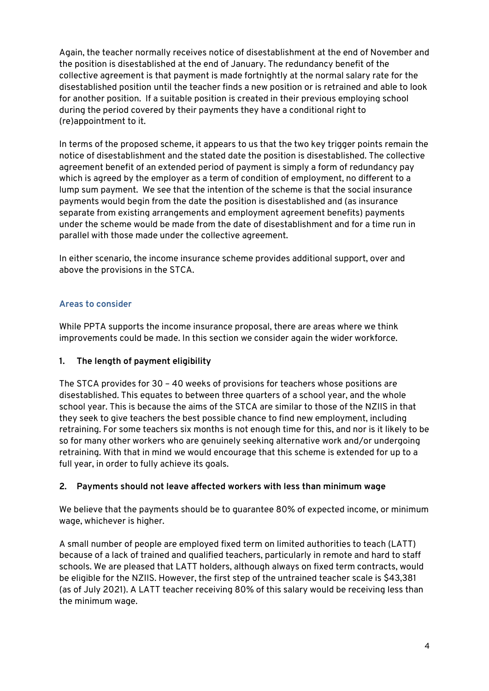Again, the teacher normally receives notice of disestablishment at the end of November and the position is disestablished at the end of January. The redundancy benefit of the collective agreement is that payment is made fortnightly at the normal salary rate for the disestablished position until the teacher finds a new position or is retrained and able to look for another position. If a suitable position is created in their previous employing school during the period covered by their payments they have a conditional right to (re)appointment to it.

In terms of the proposed scheme, it appears to us that the two key trigger points remain the notice of disestablishment and the stated date the position is disestablished. The collective agreement benefit of an extended period of payment is simply a form of redundancy pay which is agreed by the employer as a term of condition of employment, no different to a lump sum payment. We see that the intention of the scheme is that the social insurance payments would begin from the date the position is disestablished and (as insurance separate from existing arrangements and employment agreement benefits) payments under the scheme would be made from the date of disestablishment and for a time run in parallel with those made under the collective agreement.

In either scenario, the income insurance scheme provides additional support, over and above the provisions in the STCA.

# **Areas to consider**

While PPTA supports the income insurance proposal, there are areas where we think improvements could be made. In this section we consider again the wider workforce.

### **1. The length of payment eligibility**

The STCA provides for 30 – 40 weeks of provisions for teachers whose positions are disestablished. This equates to between three quarters of a school year, and the whole school year. This is because the aims of the STCA are similar to those of the NZIIS in that they seek to give teachers the best possible chance to find new employment, including retraining. For some teachers six months is not enough time for this, and nor is it likely to be so for many other workers who are genuinely seeking alternative work and/or undergoing retraining. With that in mind we would encourage that this scheme is extended for up to a full year, in order to fully achieve its goals.

### **2. Payments should not leave affected workers with less than minimum wage**

We believe that the payments should be to guarantee 80% of expected income, or minimum wage, whichever is higher.

A small number of people are employed fixed term on limited authorities to teach (LATT) because of a lack of trained and qualified teachers, particularly in remote and hard to staff schools. We are pleased that LATT holders, although always on fixed term contracts, would be eligible for the NZIIS. However, the first step of the untrained teacher scale is \$43,381 (as of July 2021). A LATT teacher receiving 80% of this salary would be receiving less than the minimum wage.